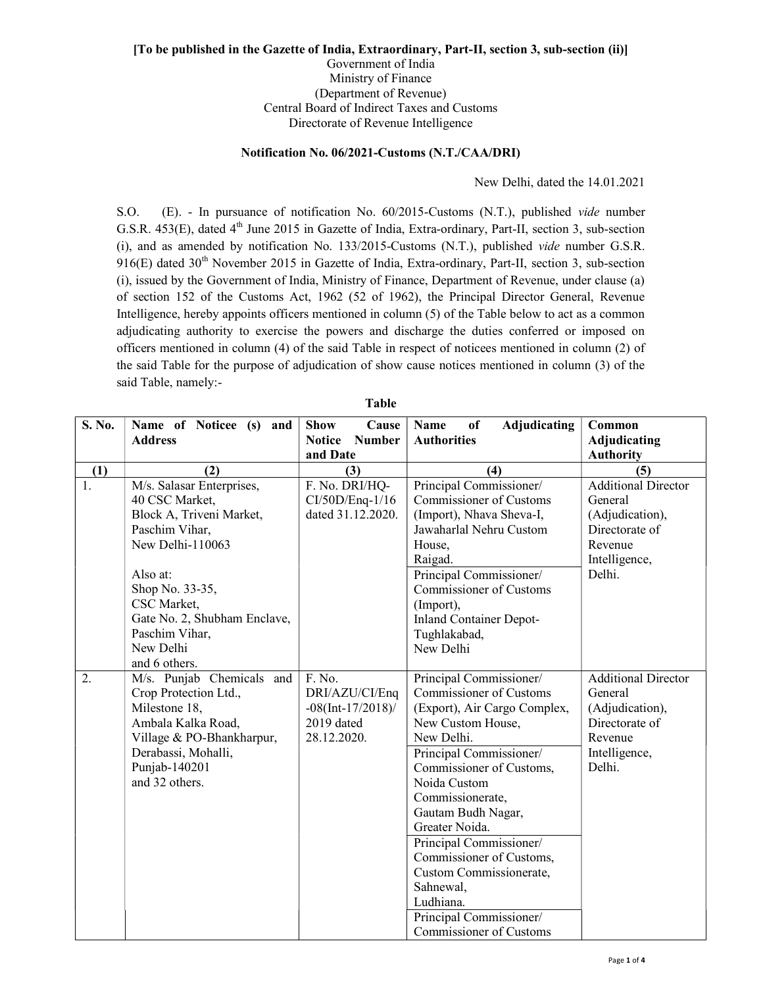## [To be published in the Gazette of India, Extraordinary, Part-II, section 3, sub-section (ii)] Government of India Ministry of Finance (Department of Revenue) Central Board of Indirect Taxes and Customs

Directorate of Revenue Intelligence

## Notification No. 06/2021-Customs (N.T./CAA/DRI)

New Delhi, dated the 14.01.2021

S.O. (E). - In pursuance of notification No. 60/2015-Customs (N.T.), published vide number G.S.R. 453(E), dated 4<sup>th</sup> June 2015 in Gazette of India, Extra-ordinary, Part-II, section 3, sub-section (i), and as amended by notification No. 133/2015-Customs (N.T.), published vide number G.S.R.  $916(E)$  dated  $30<sup>th</sup>$  November 2015 in Gazette of India, Extra-ordinary, Part-II, section 3, sub-section (i), issued by the Government of India, Ministry of Finance, Department of Revenue, under clause (a) of section 152 of the Customs Act, 1962 (52 of 1962), the Principal Director General, Revenue Intelligence, hereby appoints officers mentioned in column (5) of the Table below to act as a common adjudicating authority to exercise the powers and discharge the duties conferred or imposed on officers mentioned in column (4) of the said Table in respect of noticees mentioned in column (2) of the said Table for the purpose of adjudication of show cause notices mentioned in column (3) of the said Table, namely:-

| S. No. | Name of Noticee (s) and         | <b>Show</b><br>Cause                       | <b>Adjudicating</b><br>of<br>Name           | Common                                  |
|--------|---------------------------------|--------------------------------------------|---------------------------------------------|-----------------------------------------|
|        | <b>Address</b>                  | <b>Notice</b><br><b>Number</b><br>and Date | <b>Authorities</b>                          | <b>Adjudicating</b><br><b>Authority</b> |
| (1)    | (2)                             | (3)                                        | (4)                                         | (5)                                     |
| 1.     | M/s. Salasar Enterprises,       | F. No. DRI/HQ-                             | Principal Commissioner/                     | <b>Additional Director</b>              |
|        | 40 CSC Market,                  | $CI/50D/Eng-1/16$                          | <b>Commissioner of Customs</b>              | General                                 |
|        | Block A, Triveni Market,        | dated 31.12.2020.                          | (Import), Nhava Sheva-I,                    | (Adjudication),                         |
|        | Paschim Vihar,                  |                                            | Jawaharlal Nehru Custom                     | Directorate of                          |
|        | New Delhi-110063                |                                            | House,                                      | Revenue                                 |
|        |                                 |                                            | Raigad.                                     | Intelligence,                           |
|        | Also at:                        |                                            | Principal Commissioner/                     | Delhi.                                  |
|        | Shop No. 33-35,<br>CSC Market,  |                                            | <b>Commissioner of Customs</b>              |                                         |
|        | Gate No. 2, Shubham Enclave,    |                                            | (Import),<br><b>Inland Container Depot-</b> |                                         |
|        | Paschim Vihar,                  |                                            | Tughlakabad,                                |                                         |
|        | New Delhi                       |                                            | New Delhi                                   |                                         |
|        | and 6 others.                   |                                            |                                             |                                         |
| 2.     | M/s. Punjab Chemicals and       | F. No.                                     | Principal Commissioner/                     | <b>Additional Director</b>              |
|        | Crop Protection Ltd.,           | DRI/AZU/CI/Enq                             | <b>Commissioner of Customs</b>              | General                                 |
|        | Milestone 18,                   | $-08$ (Int-17/2018)/                       | (Export), Air Cargo Complex,                | (Adjudication),                         |
|        | Ambala Kalka Road,              | 2019 dated                                 | New Custom House,                           | Directorate of                          |
|        | Village & PO-Bhankharpur,       | 28.12.2020.                                | New Delhi.                                  | Revenue                                 |
|        | Derabassi, Mohalli,             |                                            | Principal Commissioner/                     | Intelligence,<br>Delhi.                 |
|        | Punjab-140201<br>and 32 others. |                                            | Commissioner of Customs,<br>Noida Custom    |                                         |
|        |                                 |                                            | Commissionerate,                            |                                         |
|        |                                 |                                            | Gautam Budh Nagar,                          |                                         |
|        |                                 |                                            | Greater Noida.                              |                                         |
|        |                                 |                                            | Principal Commissioner/                     |                                         |
|        |                                 |                                            | Commissioner of Customs,                    |                                         |
|        |                                 |                                            | Custom Commissionerate,                     |                                         |
|        |                                 |                                            | Sahnewal,                                   |                                         |
|        |                                 |                                            | Ludhiana.                                   |                                         |
|        |                                 |                                            | Principal Commissioner/                     |                                         |
|        |                                 |                                            | Commissioner of Customs                     |                                         |

## Table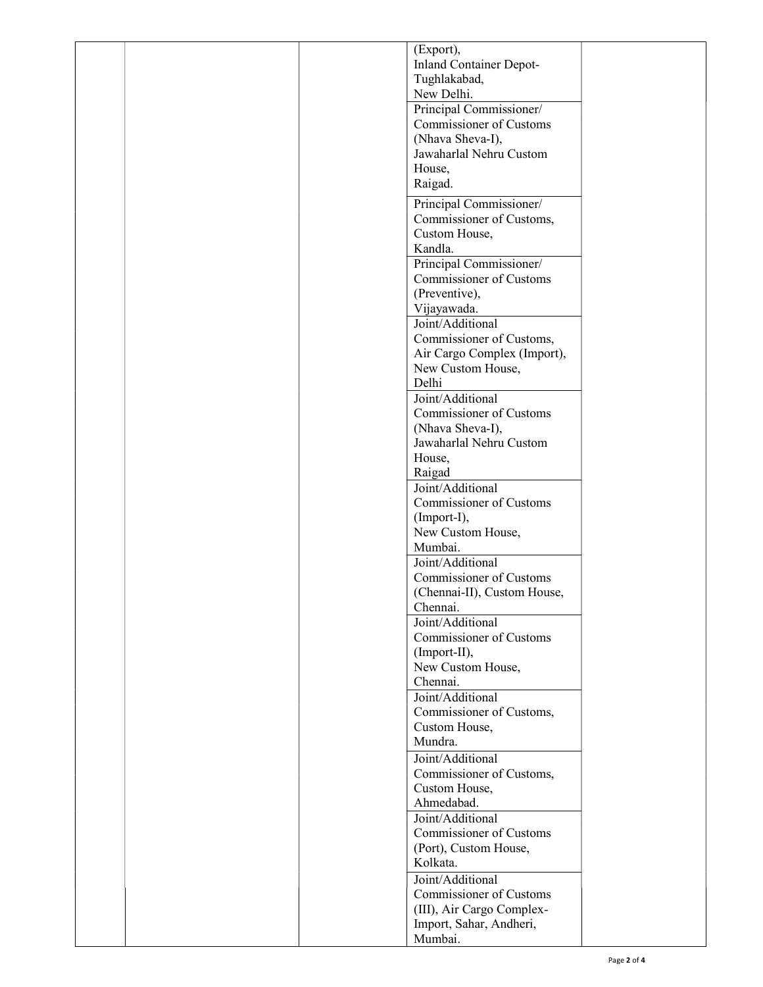|  | (Export),                               |  |
|--|-----------------------------------------|--|
|  | Inland Container Depot-                 |  |
|  | Tughlakabad,                            |  |
|  | New Delhi.                              |  |
|  | Principal Commissioner/                 |  |
|  | Commissioner of Customs                 |  |
|  | (Nhava Sheva-I),                        |  |
|  | Jawaharlal Nehru Custom                 |  |
|  | House,                                  |  |
|  | Raigad.                                 |  |
|  |                                         |  |
|  | Principal Commissioner/                 |  |
|  | Commissioner of Customs,                |  |
|  | Custom House,                           |  |
|  | Kandla.                                 |  |
|  | Principal Commissioner/                 |  |
|  | Commissioner of Customs                 |  |
|  | (Preventive),                           |  |
|  | Vijayawada.<br>Joint/Additional         |  |
|  |                                         |  |
|  | Commissioner of Customs,                |  |
|  | Air Cargo Complex (Import),             |  |
|  | New Custom House,                       |  |
|  | Delhi                                   |  |
|  | Joint/Additional                        |  |
|  | Commissioner of Customs                 |  |
|  | (Nhava Sheva-I),                        |  |
|  | Jawaharlal Nehru Custom                 |  |
|  | House,                                  |  |
|  | Raigad<br>Joint/Additional              |  |
|  |                                         |  |
|  | Commissioner of Customs                 |  |
|  | (Import-I),<br>New Custom House,        |  |
|  | Mumbai.                                 |  |
|  | Joint/Additional                        |  |
|  | Commissioner of Customs                 |  |
|  |                                         |  |
|  | (Chennai-II), Custom House,<br>Chennai. |  |
|  | Joint/Additional                        |  |
|  | Commissioner of Customs                 |  |
|  | (Import-II),                            |  |
|  | New Custom House,                       |  |
|  | Chennai.                                |  |
|  | Joint/Additional                        |  |
|  | Commissioner of Customs,                |  |
|  | Custom House,                           |  |
|  | Mundra.                                 |  |
|  | Joint/Additional                        |  |
|  | Commissioner of Customs,                |  |
|  | Custom House,                           |  |
|  | Ahmedabad.                              |  |
|  | Joint/Additional                        |  |
|  | Commissioner of Customs                 |  |
|  | (Port), Custom House,                   |  |
|  | Kolkata.                                |  |
|  | Joint/Additional                        |  |
|  | Commissioner of Customs                 |  |
|  | (III), Air Cargo Complex-               |  |
|  | Import, Sahar, Andheri,                 |  |
|  | Mumbai.                                 |  |
|  |                                         |  |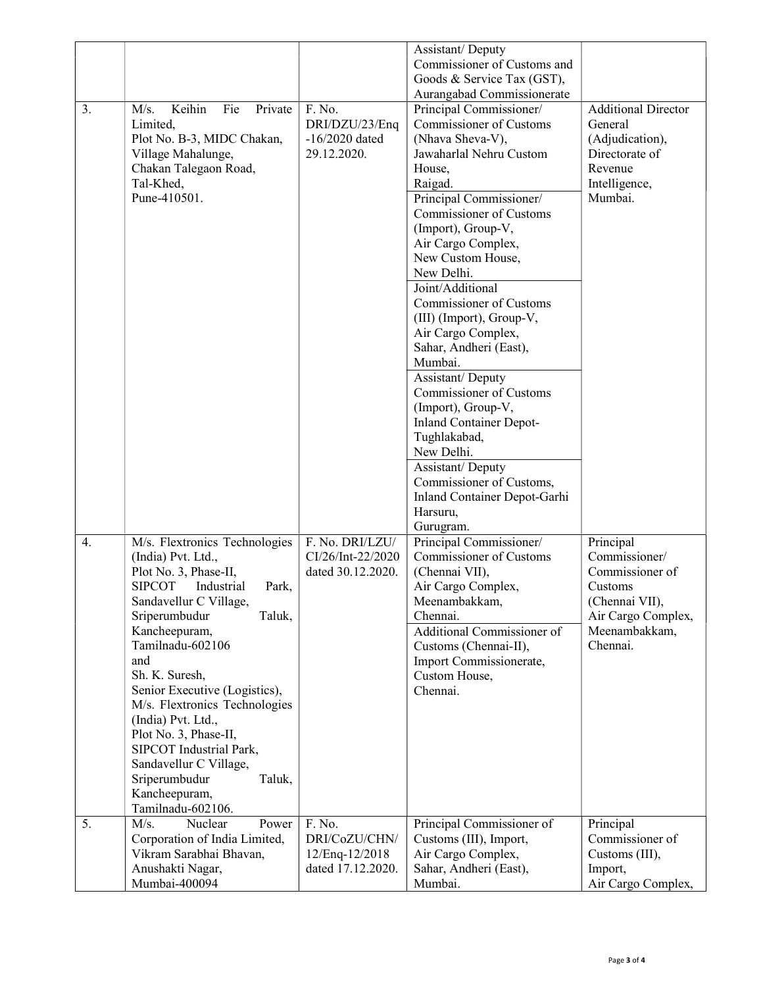|    |                                                               |                                        | Assistant/Deputy                              |                                   |
|----|---------------------------------------------------------------|----------------------------------------|-----------------------------------------------|-----------------------------------|
|    |                                                               |                                        | Commissioner of Customs and                   |                                   |
|    |                                                               |                                        | Goods & Service Tax (GST),                    |                                   |
|    |                                                               |                                        | Aurangabad Commissionerate                    |                                   |
| 3. | Keihin<br>Fie<br>Private<br>M/s.                              | F. No.                                 | Principal Commissioner/                       | <b>Additional Director</b>        |
|    | Limited,                                                      | DRI/DZU/23/Enq                         | Commissioner of Customs                       | General                           |
|    | Plot No. B-3, MIDC Chakan,                                    | $-16/2020$ dated<br>29.12.2020.        | (Nhava Sheva-V),<br>Jawaharlal Nehru Custom   | (Adjudication),<br>Directorate of |
|    | Village Mahalunge,<br>Chakan Talegaon Road,                   |                                        | House,                                        | Revenue                           |
|    | Tal-Khed,                                                     |                                        | Raigad.                                       | Intelligence,                     |
|    | Pune-410501.                                                  |                                        | Principal Commissioner/                       | Mumbai.                           |
|    |                                                               |                                        | Commissioner of Customs                       |                                   |
|    |                                                               |                                        | (Import), Group-V,                            |                                   |
|    |                                                               |                                        | Air Cargo Complex,                            |                                   |
|    |                                                               |                                        | New Custom House,                             |                                   |
|    |                                                               |                                        | New Delhi.                                    |                                   |
|    |                                                               |                                        | Joint/Additional                              |                                   |
|    |                                                               |                                        | Commissioner of Customs                       |                                   |
|    |                                                               |                                        | (III) (Import), Group-V,                      |                                   |
|    |                                                               |                                        | Air Cargo Complex,                            |                                   |
|    |                                                               |                                        | Sahar, Andheri (East),                        |                                   |
|    |                                                               |                                        | Mumbai.                                       |                                   |
|    |                                                               |                                        | Assistant/Deputy                              |                                   |
|    |                                                               |                                        | Commissioner of Customs<br>(Import), Group-V, |                                   |
|    |                                                               |                                        | <b>Inland Container Depot-</b>                |                                   |
|    |                                                               |                                        | Tughlakabad,                                  |                                   |
|    |                                                               |                                        | New Delhi.                                    |                                   |
|    |                                                               |                                        | Assistant/Deputy                              |                                   |
|    |                                                               |                                        | Commissioner of Customs,                      |                                   |
|    |                                                               |                                        | Inland Container Depot-Garhi                  |                                   |
|    |                                                               |                                        | Harsuru,                                      |                                   |
|    |                                                               |                                        | Gurugram.                                     |                                   |
| 4. | M/s. Flextronics Technologies                                 | F. No. DRI/LZU/                        | Principal Commissioner/                       | Principal                         |
|    | (India) Pvt. Ltd.,                                            | CI/26/Int-22/2020<br>dated 30.12.2020. | Commissioner of Customs<br>(Chennai VII),     | Commissioner/<br>Commissioner of  |
|    | Plot No. 3, Phase-II,<br><b>SIPCOT</b><br>Industrial<br>Park, |                                        | Air Cargo Complex,                            | Customs                           |
|    | Sandavellur C Village,                                        |                                        | Meenambakkam,                                 | (Chennai VII),                    |
|    | Sriperumbudur<br>Taluk,                                       |                                        | Chennai.                                      | Air Cargo Complex,                |
|    | Kancheepuram,                                                 |                                        | Additional Commissioner of                    | Meenambakkam,                     |
|    | Tamilnadu-602106                                              |                                        | Customs (Chennai-II),                         | Chennai.                          |
|    | and                                                           |                                        | Import Commissionerate,                       |                                   |
|    | Sh. K. Suresh,                                                |                                        | Custom House,                                 |                                   |
|    | Senior Executive (Logistics),                                 |                                        | Chennai.                                      |                                   |
|    | M/s. Flextronics Technologies                                 |                                        |                                               |                                   |
|    | (India) Pvt. Ltd.,<br>Plot No. 3, Phase-II,                   |                                        |                                               |                                   |
|    | SIPCOT Industrial Park,                                       |                                        |                                               |                                   |
|    | Sandavellur C Village,                                        |                                        |                                               |                                   |
|    | Sriperumbudur<br>Taluk,                                       |                                        |                                               |                                   |
|    | Kancheepuram,                                                 |                                        |                                               |                                   |
|    | Tamilnadu-602106.                                             |                                        |                                               |                                   |
| 5. | M/s.<br>Nuclear<br>Power                                      | F. No.                                 | Principal Commissioner of                     | Principal                         |
|    | Corporation of India Limited,                                 | DRI/CoZU/CHN/                          | Customs (III), Import,                        | Commissioner of                   |
|    | Vikram Sarabhai Bhavan,                                       | 12/Enq-12/2018                         | Air Cargo Complex,                            | Customs (III),                    |
|    | Anushakti Nagar,                                              | dated 17.12.2020.                      | Sahar, Andheri (East),                        | Import,                           |
|    | Mumbai-400094                                                 |                                        | Mumbai.                                       | Air Cargo Complex,                |